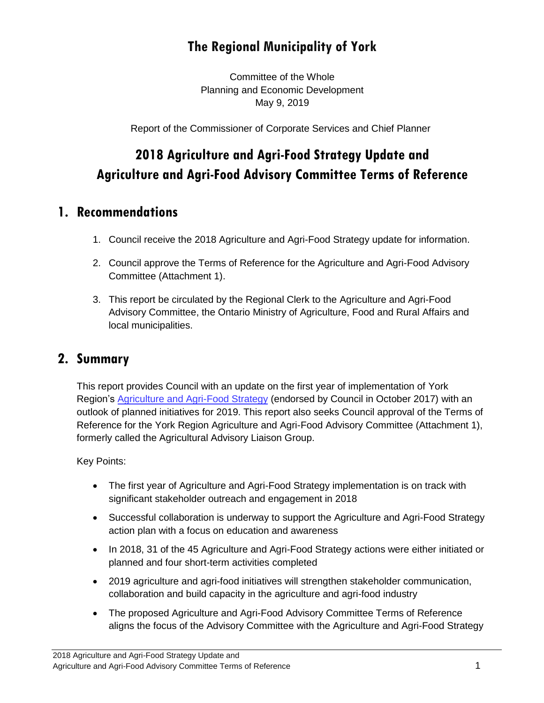# **The Regional Municipality of York**

Committee of the Whole Planning and Economic Development May 9, 2019

Report of the Commissioner of Corporate Services and Chief Planner

# **2018 Agriculture and Agri-Food Strategy Update and Agriculture and Agri-Food Advisory Committee Terms of Reference**

#### **1. Recommendations**

- 1. Council receive the 2018 Agriculture and Agri-Food Strategy update for information.
- 2. Council approve the Terms of Reference for the Agriculture and Agri-Food Advisory Committee (Attachment 1).
- 3. This report be circulated by the Regional Clerk to the Agriculture and Agri-Food Advisory Committee, the Ontario Ministry of Agriculture, Food and Rural Affairs and local municipalities.

#### **2. Summary**

This report provides Council with an update on the first year of implementation of York Region's [Agriculture and Agri-Food Strategy](https://www.york.ca/wps/wcm/connect/yorkpublic/46f81f67-26da-470d-879f-15c846daddfc/agri-strategy.pdf?MOD=AJPERES) (endorsed by Council in October 2017) with an outlook of planned initiatives for 2019. This report also seeks Council approval of the Terms of Reference for the York Region Agriculture and Agri-Food Advisory Committee (Attachment 1), formerly called the Agricultural Advisory Liaison Group.

Key Points:

- The first year of Agriculture and Agri-Food Strategy implementation is on track with significant stakeholder outreach and engagement in 2018
- Successful collaboration is underway to support the Agriculture and Agri-Food Strategy action plan with a focus on education and awareness
- In 2018, 31 of the 45 Agriculture and Agri-Food Strategy actions were either initiated or planned and four short-term activities completed
- 2019 agriculture and agri-food initiatives will strengthen stakeholder communication, collaboration and build capacity in the agriculture and agri-food industry
- The proposed Agriculture and Agri-Food Advisory Committee Terms of Reference aligns the focus of the Advisory Committee with the Agriculture and Agri-Food Strategy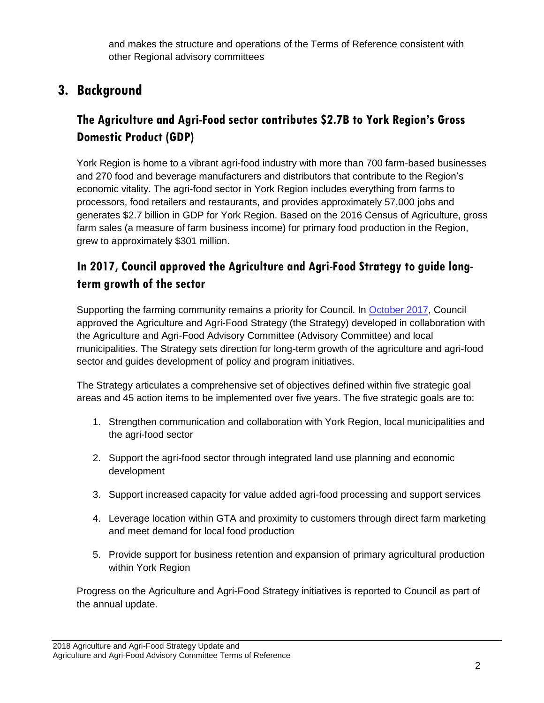and makes the structure and operations of the Terms of Reference consistent with other Regional advisory committees

# **3. Background**

## **The Agriculture and Agri-Food sector contributes \$2.7B to York Region's Gross Domestic Product (GDP)**

York Region is home to a vibrant agri-food industry with more than 700 farm-based businesses and 270 food and beverage manufacturers and distributors that contribute to the Region's economic vitality. The agri-food sector in York Region includes everything from farms to processors, food retailers and restaurants, and provides approximately 57,000 jobs and generates \$2.7 billion in GDP for York Region. Based on the 2016 Census of Agriculture, gross farm sales (a measure of farm business income) for primary food production in the Region, grew to approximately \$301 million.

#### **In 2017, Council approved the Agriculture and Agri-Food Strategy to guide longterm growth of the sector**

Supporting the farming community remains a priority for Council. In [October 2017,](https://www.york.ca/wps/wcm/connect/yorkpublic/22ee2d68-ab89-44e9-94d3-76dac5fd4cde/oct+12+agri+ex.pdf?MOD=AJPERES) Council approved the Agriculture and Agri-Food Strategy (the Strategy) developed in collaboration with the Agriculture and Agri-Food Advisory Committee (Advisory Committee) and local municipalities. The Strategy sets direction for long-term growth of the agriculture and agri-food sector and guides development of policy and program initiatives.

The Strategy articulates a comprehensive set of objectives defined within five strategic goal areas and 45 action items to be implemented over five years. The five strategic goals are to:

- 1. Strengthen communication and collaboration with York Region, local municipalities and the agri-food sector
- 2. Support the agri-food sector through integrated land use planning and economic development
- 3. Support increased capacity for value added agri-food processing and support services
- 4. Leverage location within GTA and proximity to customers through direct farm marketing and meet demand for local food production
- 5. Provide support for business retention and expansion of primary agricultural production within York Region

Progress on the Agriculture and Agri-Food Strategy initiatives is reported to Council as part of the annual update.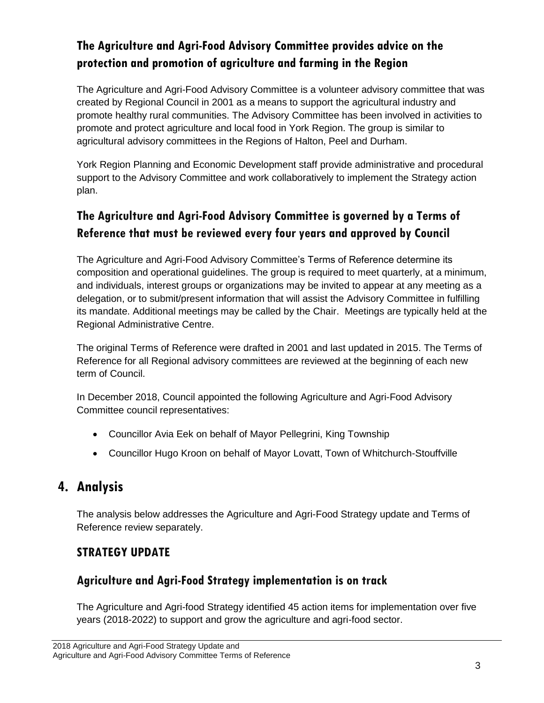## **The Agriculture and Agri-Food Advisory Committee provides advice on the protection and promotion of agriculture and farming in the Region**

The Agriculture and Agri-Food Advisory Committee is a volunteer advisory committee that was created by Regional Council in 2001 as a means to support the agricultural industry and promote healthy rural communities. The Advisory Committee has been involved in activities to promote and protect agriculture and local food in York Region. The group is similar to agricultural advisory committees in the Regions of Halton, Peel and Durham.

York Region Planning and Economic Development staff provide administrative and procedural support to the Advisory Committee and work collaboratively to implement the Strategy action plan.

## **The Agriculture and Agri-Food Advisory Committee is governed by a Terms of Reference that must be reviewed every four years and approved by Council**

The Agriculture and Agri-Food Advisory Committee's Terms of Reference determine its composition and operational guidelines. The group is required to meet quarterly, at a minimum, and individuals, interest groups or organizations may be invited to appear at any meeting as a delegation, or to submit/present information that will assist the Advisory Committee in fulfilling its mandate. Additional meetings may be called by the Chair. Meetings are typically held at the Regional Administrative Centre.

The original Terms of Reference were drafted in 2001 and last updated in 2015. The Terms of Reference for all Regional advisory committees are reviewed at the beginning of each new term of Council.

In December 2018, Council appointed the following Agriculture and Agri-Food Advisory Committee council representatives:

- Councillor Avia Eek on behalf of Mayor Pellegrini, King Township
- Councillor Hugo Kroon on behalf of Mayor Lovatt, Town of Whitchurch-Stouffville

## **4. Analysis**

The analysis below addresses the Agriculture and Agri-Food Strategy update and Terms of Reference review separately.

#### **STRATEGY UPDATE**

#### **Agriculture and Agri-Food Strategy implementation is on track**

The Agriculture and Agri-food Strategy identified 45 action items for implementation over five years (2018-2022) to support and grow the agriculture and agri-food sector.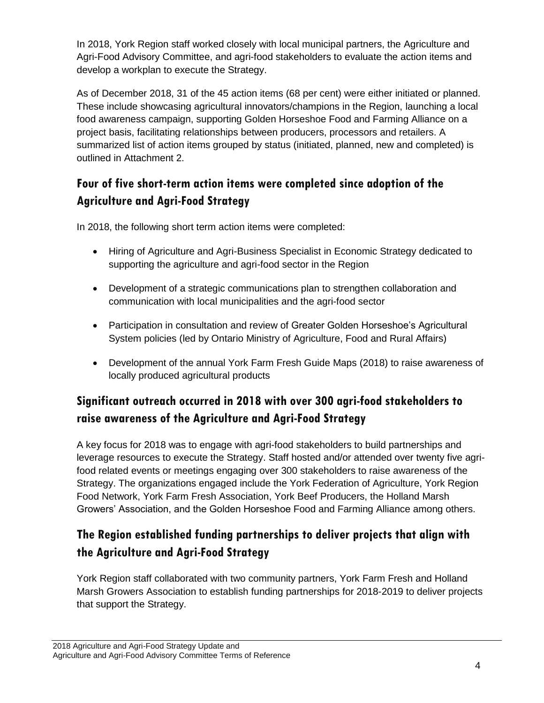In 2018, York Region staff worked closely with local municipal partners, the Agriculture and Agri-Food Advisory Committee, and agri-food stakeholders to evaluate the action items and develop a workplan to execute the Strategy.

As of December 2018, 31 of the 45 action items (68 per cent) were either initiated or planned. These include showcasing agricultural innovators/champions in the Region, launching a local food awareness campaign, supporting Golden Horseshoe Food and Farming Alliance on a project basis, facilitating relationships between producers, processors and retailers. A summarized list of action items grouped by status (initiated, planned, new and completed) is outlined in Attachment 2.

## **Four of five short-term action items were completed since adoption of the Agriculture and Agri-Food Strategy**

In 2018, the following short term action items were completed:

- Hiring of Agriculture and Agri-Business Specialist in Economic Strategy dedicated to supporting the agriculture and agri-food sector in the Region
- Development of a strategic communications plan to strengthen collaboration and communication with local municipalities and the agri-food sector
- Participation in consultation and review of Greater Golden Horseshoe's Agricultural System policies (led by Ontario Ministry of Agriculture, Food and Rural Affairs)
- Development of the annual York Farm Fresh Guide Maps (2018) to raise awareness of locally produced agricultural products

## **Significant outreach occurred in 2018 with over 300 agri-food stakeholders to raise awareness of the Agriculture and Agri-Food Strategy**

A key focus for 2018 was to engage with agri-food stakeholders to build partnerships and leverage resources to execute the Strategy. Staff hosted and/or attended over twenty five agrifood related events or meetings engaging over 300 stakeholders to raise awareness of the Strategy. The organizations engaged include the York Federation of Agriculture, York Region Food Network, York Farm Fresh Association, York Beef Producers, the Holland Marsh Growers' Association, and the Golden Horseshoe Food and Farming Alliance among others.

## **The Region established funding partnerships to deliver projects that align with the Agriculture and Agri-Food Strategy**

York Region staff collaborated with two community partners, York Farm Fresh and Holland Marsh Growers Association to establish funding partnerships for 2018-2019 to deliver projects that support the Strategy.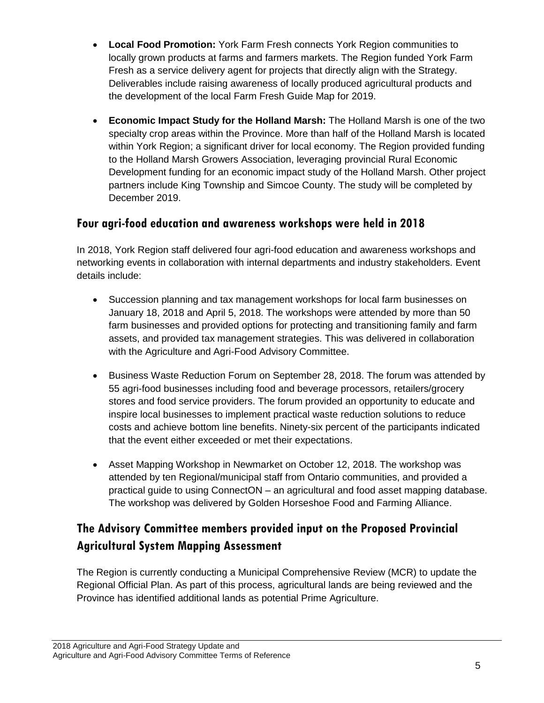- **Local Food Promotion:** York Farm Fresh connects York Region communities to locally grown products at farms and farmers markets. The Region funded York Farm Fresh as a service delivery agent for projects that directly align with the Strategy. Deliverables include raising awareness of locally produced agricultural products and the development of the local Farm Fresh Guide Map for 2019.
- **Economic Impact Study for the Holland Marsh:** The Holland Marsh is one of the two specialty crop areas within the Province. More than half of the Holland Marsh is located within York Region; a significant driver for local economy. The Region provided funding to the Holland Marsh Growers Association, leveraging provincial Rural Economic Development funding for an economic impact study of the Holland Marsh. Other project partners include King Township and Simcoe County. The study will be completed by December 2019.

#### **Four agri-food education and awareness workshops were held in 2018**

In 2018, York Region staff delivered four agri-food education and awareness workshops and networking events in collaboration with internal departments and industry stakeholders. Event details include:

- Succession planning and tax management workshops for local farm businesses on January 18, 2018 and April 5, 2018. The workshops were attended by more than 50 farm businesses and provided options for protecting and transitioning family and farm assets, and provided tax management strategies. This was delivered in collaboration with the Agriculture and Agri-Food Advisory Committee.
- Business Waste Reduction Forum on September 28, 2018. The forum was attended by 55 agri-food businesses including food and beverage processors, retailers/grocery stores and food service providers. The forum provided an opportunity to educate and inspire local businesses to implement practical waste reduction solutions to reduce costs and achieve bottom line benefits. Ninety-six percent of the participants indicated that the event either exceeded or met their expectations.
- Asset Mapping Workshop in Newmarket on October 12, 2018. The workshop was attended by ten Regional/municipal staff from Ontario communities, and provided a practical guide to using ConnectON – an agricultural and food asset mapping database. The workshop was delivered by Golden Horseshoe Food and Farming Alliance.

#### **The Advisory Committee members provided input on the Proposed Provincial Agricultural System Mapping Assessment**

The Region is currently conducting a Municipal Comprehensive Review (MCR) to update the Regional Official Plan. As part of this process, agricultural lands are being reviewed and the Province has identified additional lands as potential Prime Agriculture.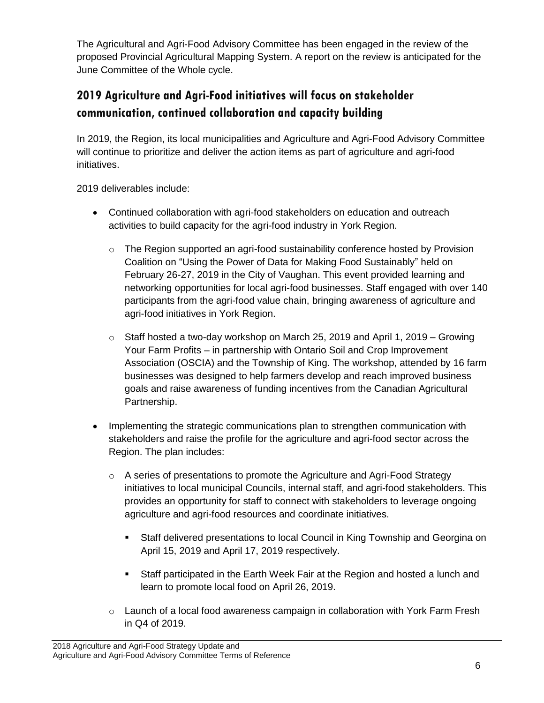The Agricultural and Agri-Food Advisory Committee has been engaged in the review of the proposed Provincial Agricultural Mapping System. A report on the review is anticipated for the June Committee of the Whole cycle.

## **2019 Agriculture and Agri-Food initiatives will focus on stakeholder communication, continued collaboration and capacity building**

In 2019, the Region, its local municipalities and Agriculture and Agri-Food Advisory Committee will continue to prioritize and deliver the action items as part of agriculture and agri-food initiatives.

2019 deliverables include:

- Continued collaboration with agri-food stakeholders on education and outreach activities to build capacity for the agri-food industry in York Region.
	- o The Region supported an agri-food sustainability conference hosted by Provision Coalition on "Using the Power of Data for Making Food Sustainably" held on February 26-27, 2019 in the City of Vaughan. This event provided learning and networking opportunities for local agri-food businesses. Staff engaged with over 140 participants from the agri-food value chain, bringing awareness of agriculture and agri-food initiatives in York Region.
	- o Staff hosted a two-day workshop on March 25, 2019 and April 1, 2019 Growing Your Farm Profits – in partnership with Ontario Soil and Crop Improvement Association (OSCIA) and the Township of King. The workshop, attended by 16 farm businesses was designed to help farmers develop and reach improved business goals and raise awareness of funding incentives from the Canadian Agricultural Partnership.
- Implementing the strategic communications plan to strengthen communication with stakeholders and raise the profile for the agriculture and agri-food sector across the Region. The plan includes:
	- $\circ$  A series of presentations to promote the Agriculture and Agri-Food Strategy initiatives to local municipal Councils, internal staff, and agri-food stakeholders. This provides an opportunity for staff to connect with stakeholders to leverage ongoing agriculture and agri-food resources and coordinate initiatives.
		- Staff delivered presentations to local Council in King Township and Georgina on April 15, 2019 and April 17, 2019 respectively.
		- Staff participated in the Earth Week Fair at the Region and hosted a lunch and learn to promote local food on April 26, 2019.
	- o Launch of a local food awareness campaign in collaboration with York Farm Fresh in Q4 of 2019.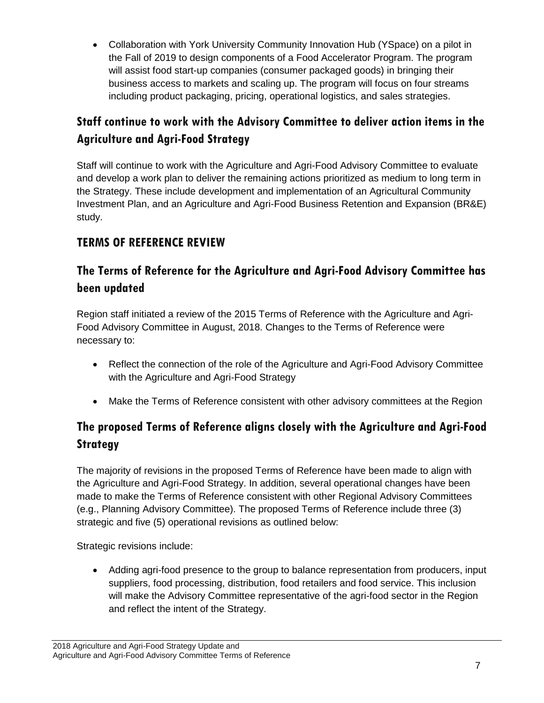Collaboration with York University Community Innovation Hub (YSpace) on a pilot in the Fall of 2019 to design components of a Food Accelerator Program. The program will assist food start-up companies (consumer packaged goods) in bringing their business access to markets and scaling up. The program will focus on four streams including product packaging, pricing, operational logistics, and sales strategies.

## **Staff continue to work with the Advisory Committee to deliver action items in the Agriculture and Agri-Food Strategy**

Staff will continue to work with the Agriculture and Agri-Food Advisory Committee to evaluate and develop a work plan to deliver the remaining actions prioritized as medium to long term in the Strategy. These include development and implementation of an Agricultural Community Investment Plan, and an Agriculture and Agri-Food Business Retention and Expansion (BR&E) study.

#### **TERMS OF REFERENCE REVIEW**

#### **The Terms of Reference for the Agriculture and Agri-Food Advisory Committee has been updated**

Region staff initiated a review of the 2015 Terms of Reference with the Agriculture and Agri-Food Advisory Committee in August, 2018. Changes to the Terms of Reference were necessary to:

- Reflect the connection of the role of the Agriculture and Agri-Food Advisory Committee with the Agriculture and Agri-Food Strategy
- Make the Terms of Reference consistent with other advisory committees at the Region

## **The proposed Terms of Reference aligns closely with the Agriculture and Agri-Food Strategy**

The majority of revisions in the proposed Terms of Reference have been made to align with the Agriculture and Agri-Food Strategy. In addition, several operational changes have been made to make the Terms of Reference consistent with other Regional Advisory Committees (e.g., Planning Advisory Committee). The proposed Terms of Reference include three (3) strategic and five (5) operational revisions as outlined below:

Strategic revisions include:

 Adding agri-food presence to the group to balance representation from producers, input suppliers, food processing, distribution, food retailers and food service. This inclusion will make the Advisory Committee representative of the agri-food sector in the Region and reflect the intent of the Strategy.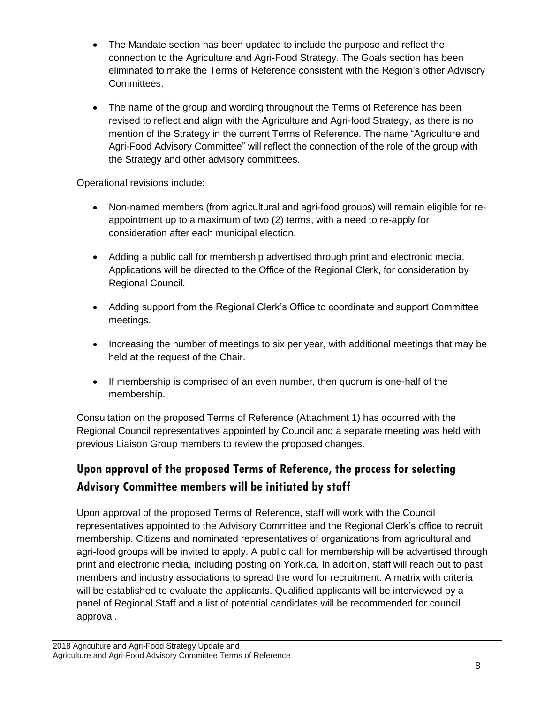- The Mandate section has been updated to include the purpose and reflect the connection to the Agriculture and Agri-Food Strategy. The Goals section has been eliminated to make the Terms of Reference consistent with the Region's other Advisory Committees.
- The name of the group and wording throughout the Terms of Reference has been revised to reflect and align with the Agriculture and Agri-food Strategy, as there is no mention of the Strategy in the current Terms of Reference. The name "Agriculture and Agri-Food Advisory Committee" will reflect the connection of the role of the group with the Strategy and other advisory committees.

Operational revisions include:

- Non-named members (from agricultural and agri-food groups) will remain eligible for reappointment up to a maximum of two (2) terms, with a need to re-apply for consideration after each municipal election.
- Adding a public call for membership advertised through print and electronic media. Applications will be directed to the Office of the Regional Clerk, for consideration by Regional Council.
- Adding support from the Regional Clerk's Office to coordinate and support Committee meetings.
- Increasing the number of meetings to six per year, with additional meetings that may be held at the request of the Chair.
- If membership is comprised of an even number, then quorum is one-half of the membership.

Consultation on the proposed Terms of Reference (Attachment 1) has occurred with the Regional Council representatives appointed by Council and a separate meeting was held with previous Liaison Group members to review the proposed changes.

#### **Upon approval of the proposed Terms of Reference, the process for selecting Advisory Committee members will be initiated by staff**

Upon approval of the proposed Terms of Reference, staff will work with the Council representatives appointed to the Advisory Committee and the Regional Clerk's office to recruit membership. Citizens and nominated representatives of organizations from agricultural and agri-food groups will be invited to apply. A public call for membership will be advertised through print and electronic media, including posting on York.ca. In addition, staff will reach out to past members and industry associations to spread the word for recruitment. A matrix with criteria will be established to evaluate the applicants. Qualified applicants will be interviewed by a panel of Regional Staff and a list of potential candidates will be recommended for council approval.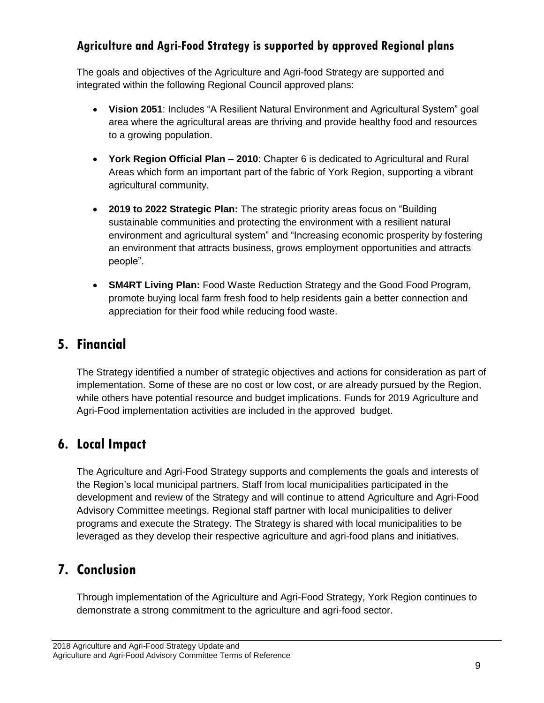#### **Agriculture and Agri-Food Strategy is supported by approved Regional plans**

The goals and objectives of the Agriculture and Agri-food Strategy are supported and integrated within the following Regional Council approved plans:

- **Vision 2051**: Includes "A Resilient Natural Environment and Agricultural System" goal area where the agricultural areas are thriving and provide healthy food and resources to a growing population.
- **York Region Official Plan – 2010**: Chapter 6 is dedicated to Agricultural and Rural Areas which form an important part of the fabric of York Region, supporting a vibrant agricultural community.
- **2019 to 2022 Strategic Plan:** The strategic priority areas focus on "Building sustainable communities and protecting the environment with a resilient natural environment and agricultural system" and "Increasing economic prosperity by fostering an environment that attracts business, grows employment opportunities and attracts people".
- **SM4RT Living Plan:** Food Waste Reduction Strategy and the Good Food Program, promote buying local farm fresh food to help residents gain a better connection and appreciation for their food while reducing food waste.

## **5. Financial**

The Strategy identified a number of strategic objectives and actions for consideration as part of implementation. Some of these are no cost or low cost, or are already pursued by the Region, while others have potential resource and budget implications. Funds for 2019 Agriculture and Agri-Food implementation activities are included in the approved budget.

# **6. Local Impact**

The Agriculture and Agri-Food Strategy supports and complements the goals and interests of the Region's local municipal partners. Staff from local municipalities participated in the development and review of the Strategy and will continue to attend Agriculture and Agri-Food Advisory Committee meetings. Regional staff partner with local municipalities to deliver programs and execute the Strategy. The Strategy is shared with local municipalities to be leveraged as they develop their respective agriculture and agri-food plans and initiatives.

# **7. Conclusion**

Through implementation of the Agriculture and Agri-Food Strategy, York Region continues to demonstrate a strong commitment to the agriculture and agri-food sector.